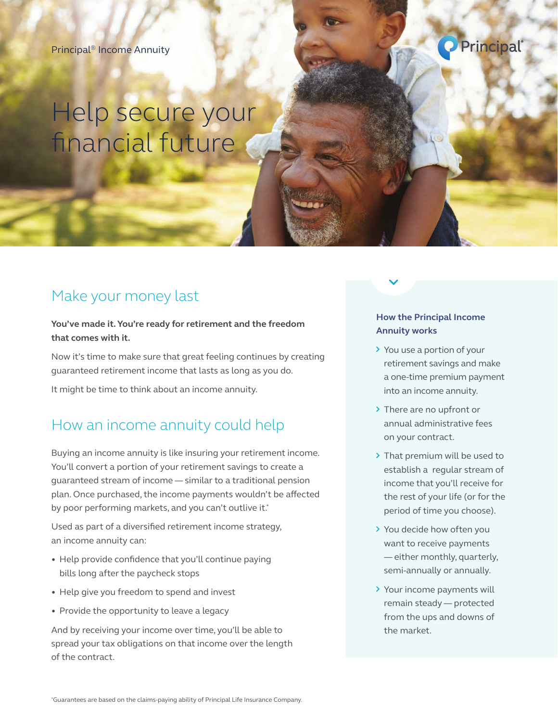#### Principal® Income Annuity



# Help secure your financial future

### Make your money last

#### **You've made it. You're ready for retirement and the freedom that comes with it.**

Now it's time to make sure that great feeling continues by creating guaranteed retirement income that lasts as long as you do.

It might be time to think about an income annuity.

### How an income annuity could help

Buying an income annuity is like insuring your retirement income. You'll convert a portion of your retirement savings to create a guaranteed stream of income — similar to a traditional pension plan. Once purchased, the income payments wouldn't be affected by poor performing markets, and you can't outlive it.<sup>\*</sup>

Used as part of a diversified retirement income strategy, an income annuity can:

- Help provide confidence that you'll continue paying bills long after the paycheck stops
- Help give you freedom to spend and invest
- Provide the opportunity to leave a legacy

And by receiving your income over time, you'll be able to spread your tax obligations on that income over the length of the contract.

#### **How the Principal Income Annuity works**

- > You use a portion of your retirement savings and make a one-time premium payment into an income annuity.
- > There are no upfront or annual administrative fees on your contract.
- > That premium will be used to establish a regular stream of income that you'll receive for the rest of your life (or for the period of time you choose).
- You decide how often you want to receive payments — either monthly, quarterly, semi-annually or annually.
- > Your income payments will remain steady — protected from the ups and downs of the market.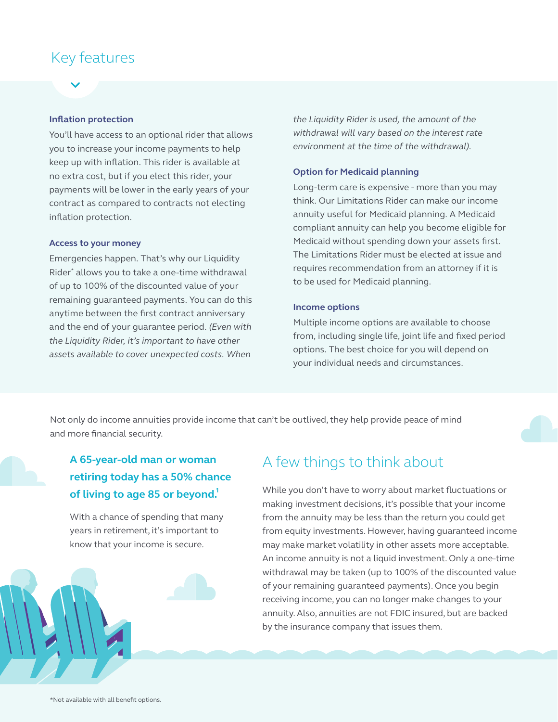### Key features

#### **Inflation protection**

You'll have access to an optional rider that allows you to increase your income payments to help keep up with inflation. This rider is available at no extra cost, but if you elect this rider, your payments will be lower in the early years of your contract as compared to contracts not electing inflation protection.

#### **Access to your money**

Emergencies happen. That's why our Liquidity Rider\* allows you to take a one-time withdrawal of up to 100% of the discounted value of your remaining guaranteed payments. You can do this anytime between the first contract anniversary and the end of your guarantee period. *(Even with the Liquidity Rider, it's important to have other assets available to cover unexpected costs. When* 

*the Liquidity Rider is used, the amount of the withdrawal will vary based on the interest rate environment at the time of the withdrawal)*.

#### **Option for Medicaid planning**

Long-term care is expensive - more than you may think. Our Limitations Rider can make our income annuity useful for Medicaid planning. A Medicaid compliant annuity can help you become eligible for Medicaid without spending down your assets first. The Limitations Rider must be elected at issue and requires recommendation from an attorney if it is to be used for Medicaid planning.

#### **Income options**

Multiple income options are available to choose from, including single life, joint life and fixed period options. The best choice for you will depend on your individual needs and circumstances.

Not only do income annuities provide income that can't be outlived, they help provide peace of mind and more financial security.

### **A 65-year-old man or woman retiring today has a 50% chance**  of living to age 85 or beyond.<sup>1</sup>

With a chance of spending that many years in retirement, it's important to know that your income is secure.

### A few things to think about

While you don't have to worry about market fluctuations or making investment decisions, it's possible that your income from the annuity may be less than the return you could get from equity investments. However, having guaranteed income may make market volatility in other assets more acceptable. An income annuity is not a liquid investment. Only a one-time withdrawal may be taken (up to 100% of the discounted value of your remaining guaranteed payments). Once you begin receiving income, you can no longer make changes to your annuity. Also, annuities are not FDIC insured, but are backed by the insurance company that issues them.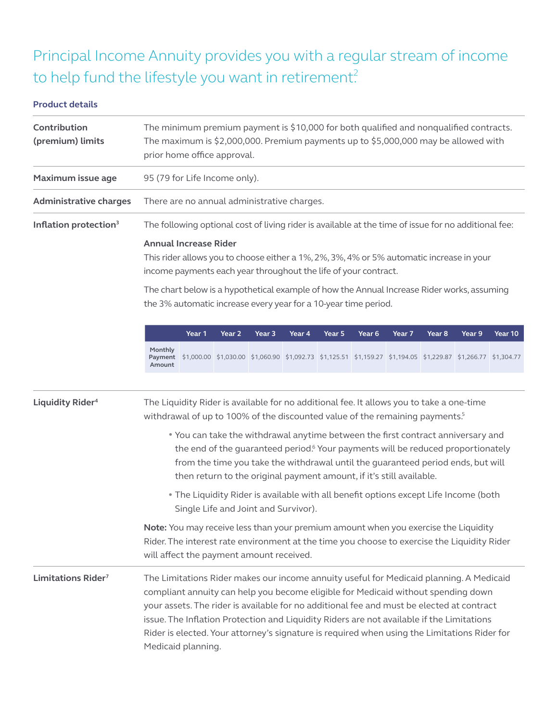# Principal Income Annuity provides you with a regular stream of income to help fund the lifestyle you want in retirement?

#### **Product details**

| Contribution<br>(premium) limits  | The minimum premium payment is \$10,000 for both qualified and nonqualified contracts.<br>The maximum is \$2,000,000. Premium payments up to \$5,000,000 may be allowed with<br>prior home office approval.                                                                                                                                                                                                                                                                                                                                                                                                                                                          |        |        |                                                                                                               |        |        |        |        |                   |        |         |  |
|-----------------------------------|----------------------------------------------------------------------------------------------------------------------------------------------------------------------------------------------------------------------------------------------------------------------------------------------------------------------------------------------------------------------------------------------------------------------------------------------------------------------------------------------------------------------------------------------------------------------------------------------------------------------------------------------------------------------|--------|--------|---------------------------------------------------------------------------------------------------------------|--------|--------|--------|--------|-------------------|--------|---------|--|
| Maximum issue age                 | 95 (79 for Life Income only).                                                                                                                                                                                                                                                                                                                                                                                                                                                                                                                                                                                                                                        |        |        |                                                                                                               |        |        |        |        |                   |        |         |  |
| <b>Administrative charges</b>     | There are no annual administrative charges.                                                                                                                                                                                                                                                                                                                                                                                                                                                                                                                                                                                                                          |        |        |                                                                                                               |        |        |        |        |                   |        |         |  |
| Inflation protection <sup>3</sup> | The following optional cost of living rider is available at the time of issue for no additional fee:<br><b>Annual Increase Rider</b><br>This rider allows you to choose either a 1%, 2%, 3%, 4% or 5% automatic increase in your<br>income payments each year throughout the life of your contract.<br>The chart below is a hypothetical example of how the Annual Increase Rider works, assuming                                                                                                                                                                                                                                                                    |        |        |                                                                                                               |        |        |        |        |                   |        |         |  |
|                                   | the 3% automatic increase every year for a 10-year time period.                                                                                                                                                                                                                                                                                                                                                                                                                                                                                                                                                                                                      |        |        |                                                                                                               |        |        |        |        |                   |        |         |  |
|                                   |                                                                                                                                                                                                                                                                                                                                                                                                                                                                                                                                                                                                                                                                      | Year 1 | Year 2 | Year 3                                                                                                        | Year 4 | Year 5 | Year 6 | Year 7 | Year <sub>8</sub> | Year 9 | Year 10 |  |
|                                   | Monthly<br>Payment<br>Amount                                                                                                                                                                                                                                                                                                                                                                                                                                                                                                                                                                                                                                         |        |        | \$1,000.00 \$1,030.00 \$1,060.90 \$1,092.73 \$1,125.51 \$1,159.27 \$1,194.05 \$1,229.87 \$1,266.77 \$1,304.77 |        |        |        |        |                   |        |         |  |
| Liquidity Rider <sup>4</sup>      | The Liquidity Rider is available for no additional fee. It allows you to take a one-time<br>withdrawal of up to 100% of the discounted value of the remaining payments. <sup>5</sup><br>. You can take the withdrawal anytime between the first contract anniversary and<br>the end of the guaranteed period. <sup>6</sup> Your payments will be reduced proportionately<br>from the time you take the withdrawal until the guaranteed period ends, but will<br>then return to the original payment amount, if it's still available.<br>. The Liquidity Rider is available with all benefit options except Life Income (both<br>Single Life and Joint and Survivor). |        |        |                                                                                                               |        |        |        |        |                   |        |         |  |
|                                   | Note: You may receive less than your premium amount when you exercise the Liquidity<br>Rider. The interest rate environment at the time you choose to exercise the Liquidity Rider<br>will affect the payment amount received.                                                                                                                                                                                                                                                                                                                                                                                                                                       |        |        |                                                                                                               |        |        |        |        |                   |        |         |  |
| Limitations Rider <sup>7</sup>    | The Limitations Rider makes our income annuity useful for Medicaid planning. A Medicaid<br>compliant annuity can help you become eligible for Medicaid without spending down<br>your assets. The rider is available for no additional fee and must be elected at contract<br>issue. The Inflation Protection and Liquidity Riders are not available if the Limitations<br>Rider is elected. Your attorney's signature is required when using the Limitations Rider for<br>Medicaid planning.                                                                                                                                                                         |        |        |                                                                                                               |        |        |        |        |                   |        |         |  |